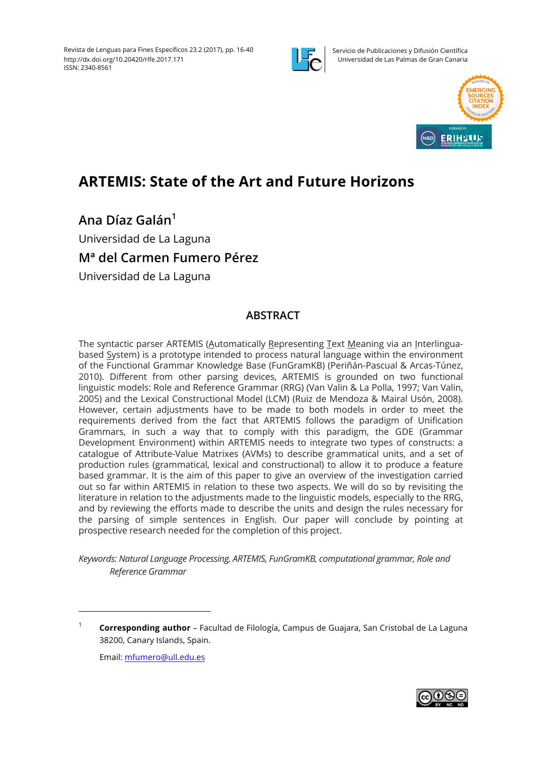

Servicio de Publicaciones y Difusión Científica Universidad de Las Palmas de Gran Canaria



# **ARTEMIS: State of the Art and Future Horizons**

**Ana Díaz Galán<sup>1</sup>**

Universidad de La Laguna

## **Mª del Carmen Fumero Pérez**

Universidad de La Laguna

## **ABSTRACT**

The syntactic parser ARTEMIS (Automatically Representing Text Meaning via an Interlinguabased System) is a prototype intended to process natural language within the environment of the Functional Grammar Knowledge Base (FunGramKB) (Periñán-Pascual & Arcas-Túnez, 2010). Different from other parsing devices, ARTEMIS is grounded on two functional linguistic models: Role and Reference Grammar (RRG) (Van Valin & La Polla, 1997; Van Valin, 2005) and the Lexical Constructional Model (LCM) (Ruiz de Mendoza & Mairal Usón, 2008). However, certain adjustments have to be made to both models in order to meet the requirements derived from the fact that ARTEMIS follows the paradigm of Unification Grammars, in such a way that to comply with this paradigm, the GDE (Grammar Development Environment) within ARTEMIS needs to integrate two types of constructs: a catalogue of Attribute-Value Matrixes (AVMs) to describe grammatical units, and a set of production rules (grammatical, lexical and constructional) to allow it to produce a feature based grammar. It is the aim of this paper to give an overview of the investigation carried out so far within ARTEMIS in relation to these two aspects. We will do so by revisiting the literature in relation to the adjustments made to the linguistic models, especially to the RRG, and by reviewing the efforts made to describe the units and design the rules necessary for the parsing of simple sentences in English. Our paper will conclude by pointing at prospective research needed for the completion of this project.

*Keywords: Natural Language Processing, ARTEMIS, FunGramKB, computational grammar, Role and Reference Grammar*

Email: mfumero@ull.edu.es



<sup>1</sup> **Corresponding author** – Facultad de Filología, Campus de Guajara, San Cristobal de La Laguna 38200, Canary Islands, Spain.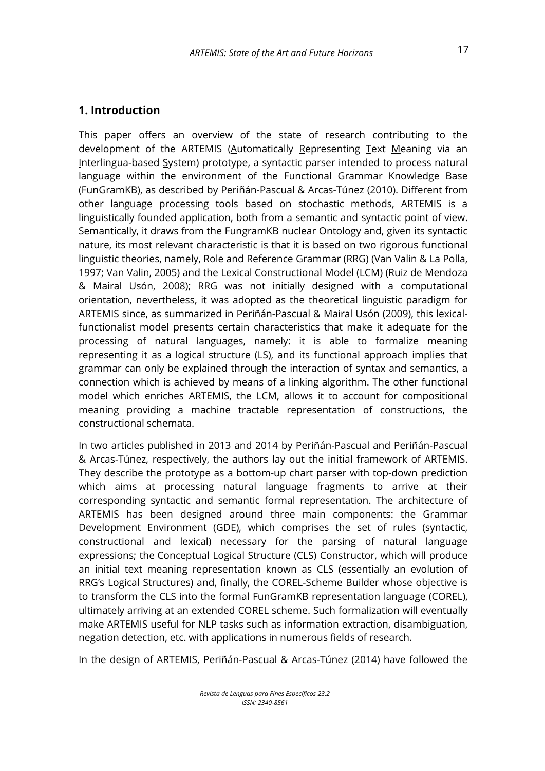#### **1. Introduction**

This paper offers an overview of the state of research contributing to the development of the ARTEMIS (Automatically Representing Text Meaning via an Interlingua-based System) prototype, a syntactic parser intended to process natural language within the environment of the Functional Grammar Knowledge Base (FunGramKB), as described by Periñán-Pascual & Arcas-Túnez (2010). Different from other language processing tools based on stochastic methods, ARTEMIS is a linguistically founded application, both from a semantic and syntactic point of view. Semantically, it draws from the FungramKB nuclear Ontology and, given its syntactic nature, its most relevant characteristic is that it is based on two rigorous functional linguistic theories, namely, Role and Reference Grammar (RRG) (Van Valin & La Polla, 1997; Van Valin, 2005) and the Lexical Constructional Model (LCM) (Ruiz de Mendoza & Mairal Usón, 2008); RRG was not initially designed with a computational orientation, nevertheless, it was adopted as the theoretical linguistic paradigm for ARTEMIS since, as summarized in Periñán-Pascual & Mairal Usón (2009), this lexicalfunctionalist model presents certain characteristics that make it adequate for the processing of natural languages, namely: it is able to formalize meaning representing it as a logical structure (LS), and its functional approach implies that grammar can only be explained through the interaction of syntax and semantics, a connection which is achieved by means of a linking algorithm. The other functional model which enriches ARTEMIS, the LCM, allows it to account for compositional meaning providing a machine tractable representation of constructions, the constructional schemata.

In two articles published in 2013 and 2014 by Periñán-Pascual and Periñán-Pascual & Arcas-Túnez, respectively, the authors lay out the initial framework of ARTEMIS. They describe the prototype as a bottom-up chart parser with top-down prediction which aims at processing natural language fragments to arrive at their corresponding syntactic and semantic formal representation. The architecture of ARTEMIS has been designed around three main components: the Grammar Development Environment (GDE), which comprises the set of rules (syntactic, constructional and lexical) necessary for the parsing of natural language expressions; the Conceptual Logical Structure (CLS) Constructor, which will produce an initial text meaning representation known as CLS (essentially an evolution of RRG's Logical Structures) and, finally, the COREL-Scheme Builder whose objective is to transform the CLS into the formal FunGramKB representation language (COREL), ultimately arriving at an extended COREL scheme. Such formalization will eventually make ARTEMIS useful for NLP tasks such as information extraction, disambiguation, negation detection, etc. with applications in numerous fields of research.

In the design of ARTEMIS, Periñán-Pascual & Arcas-Túnez (2014) have followed the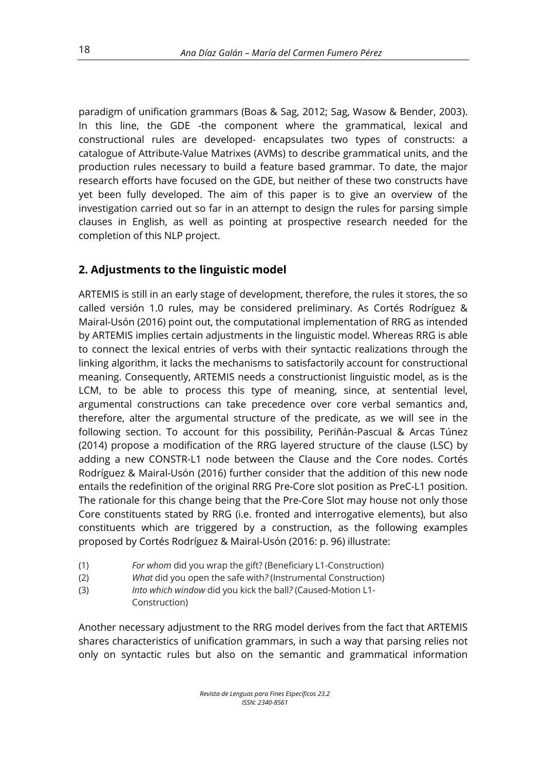paradigm of unification grammars (Boas & Sag, 2012; Sag, Wasow & Bender, 2003). In this line, the GDE -the component where the grammatical, lexical and constructional rules are developed- encapsulates two types of constructs: a catalogue of Attribute-Value Matrixes (AVMs) to describe grammatical units, and the production rules necessary to build a feature based grammar. To date, the major research efforts have focused on the GDE, but neither of these two constructs have yet been fully developed. The aim of this paper is to give an overview of the investigation carried out so far in an attempt to design the rules for parsing simple clauses in English, as well as pointing at prospective research needed for the completion of this NLP project.

## **2. Adjustments to the linguistic model**

ARTEMIS is still in an early stage of development, therefore, the rules it stores, the so called versión 1.0 rules, may be considered preliminary. As Cortés Rodríguez & Mairal-Usón (2016) point out, the computational implementation of RRG as intended by ARTEMIS implies certain adjustments in the linguistic model. Whereas RRG is able to connect the lexical entries of verbs with their syntactic realizations through the linking algorithm, it lacks the mechanisms to satisfactorily account for constructional meaning. Consequently, ARTEMIS needs a constructionist linguistic model, as is the LCM, to be able to process this type of meaning, since, at sentential level, argumental constructions can take precedence over core verbal semantics and, therefore, alter the argumental structure of the predicate, as we will see in the following section. To account for this possibility, Periñán-Pascual & Arcas Túnez (2014) propose a modification of the RRG layered structure of the clause (LSC) by adding a new CONSTR-L1 node between the Clause and the Core nodes. Cortés Rodríguez & Mairal-Usón (2016) further consider that the addition of this new node entails the redefinition of the original RRG Pre-Core slot position as PreC-L1 position. The rationale for this change being that the Pre-Core Slot may house not only those Core constituents stated by RRG (i.e. fronted and interrogative elements), but also constituents which are triggered by a construction, as the following examples proposed by Cortés Rodríguez & Mairal-Usón (2016: p. 96) illustrate:

- (1) *For whom* did you wrap the gift? (Beneficiary L1-Construction)
- (2) *What* did you open the safe with*?* (Instrumental Construction)
- (3) *Into which window* did you kick the ball*?* (Caused-Motion L1- Construction)

Another necessary adjustment to the RRG model derives from the fact that ARTEMIS shares characteristics of unification grammars, in such a way that parsing relies not only on syntactic rules but also on the semantic and grammatical information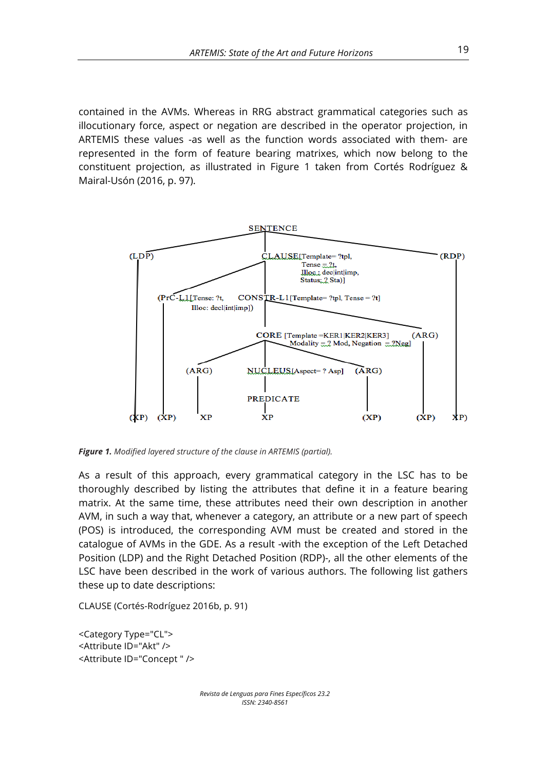contained in the AVMs. Whereas in RRG abstract grammatical categories such as illocutionary force, aspect or negation are described in the operator projection, in ARTEMIS these values -as well as the function words associated with them- are represented in the form of feature bearing matrixes, which now belong to the constituent projection, as illustrated in Figure 1 taken from Cortés Rodríguez & Mairal-Usón (2016, p. 97).



*Figure 1. Modified layered structure of the clause in ARTEMIS (partial).*

As a result of this approach, every grammatical category in the LSC has to be thoroughly described by listing the attributes that define it in a feature bearing matrix. At the same time, these attributes need their own description in another AVM, in such a way that, whenever a category, an attribute or a new part of speech (POS) is introduced, the corresponding AVM must be created and stored in the catalogue of AVMs in the GDE. As a result -with the exception of the Left Detached Position (LDP) and the Right Detached Position (RDP)-, all the other elements of the LSC have been described in the work of various authors. The following list gathers these up to date descriptions:

CLAUSE (Cortés-Rodríguez 2016b, p. 91)

<Category Type="CL"> <Attribute ID="Akt" /> <Attribute ID="Concept " />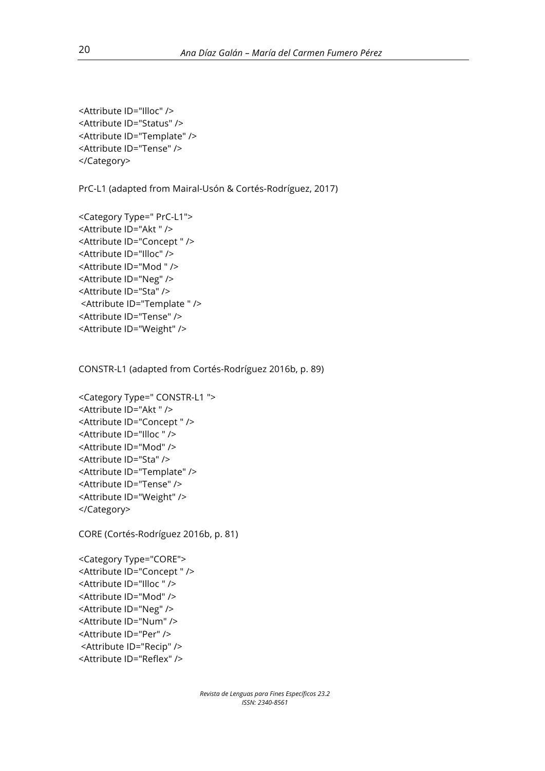<Attribute ID="Illoc" /> <Attribute ID="Status" /> <Attribute ID="Template" /> <Attribute ID="Tense" /> </Category>

PrC-L1 (adapted from Mairal-Usón & Cortés-Rodríguez, 2017)

```
<Category Type=" PrC-L1"> 
<Attribute ID="Akt " />
<Attribute ID="Concept " /> 
<Attribute ID="Illoc" /> 
<Attribute ID="Mod " /> 
<Attribute ID="Neg" /> 
<Attribute ID="Sta" />
<Attribute ID="Template " /> 
<Attribute ID="Tense" /> 
<Attribute ID="Weight" />
```
CONSTR-L1 (adapted from Cortés-Rodríguez 2016b, p. 89)

```
<Category Type=" CONSTR-L1 "> 
<Attribute ID="Akt " /> 
<Attribute ID="Concept " /> 
<Attribute ID="Illoc " />
<Attribute ID="Mod" />
<Attribute ID="Sta" />
<Attribute ID="Template" /> 
<Attribute ID="Tense" /> 
<Attribute ID="Weight" />
</Category>
```
CORE (Cortés-Rodríguez 2016b, p. 81)

```
<Category Type="CORE"> 
<Attribute ID="Concept " /> 
<Attribute ID="Illoc " /> 
<Attribute ID="Mod" /> 
<Attribute ID="Neg" />
<Attribute ID="Num" /> 
<Attribute ID="Per" />
<Attribute ID="Recip" /> 
<Attribute ID="Reflex" />
```
*Revista de Lenguas para Fines Específicos 23.2 ISSN: 2340-8561*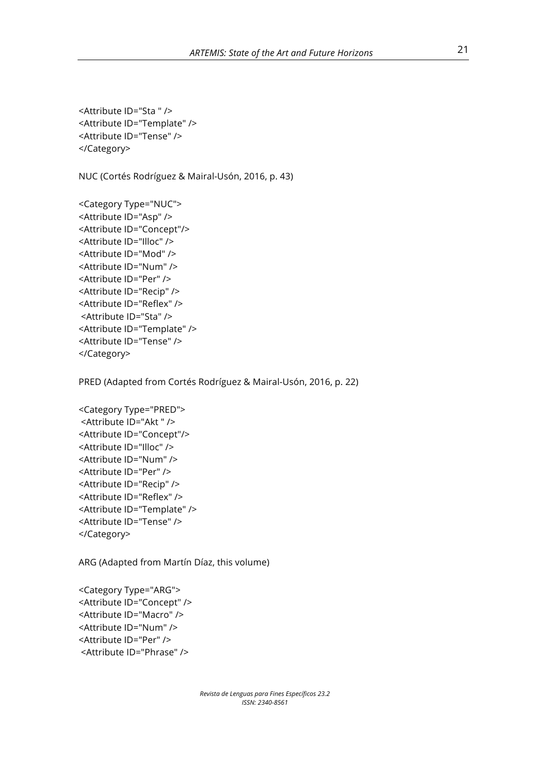<Attribute ID="Sta " /> <Attribute ID="Template" /> <Attribute ID="Tense" /> </Category>

NUC (Cortés Rodríguez & Mairal-Usón, 2016, p. 43)

<Category Type="NUC"> <Attribute ID="Asp" /> <Attribute ID="Concept"/> <Attribute ID="Illoc" /> <Attribute ID="Mod" /> <Attribute ID="Num" /> <Attribute ID="Per" /> <Attribute ID="Recip" /> <Attribute ID="Reflex" /> <Attribute ID="Sta" /> <Attribute ID="Template" /> <Attribute ID="Tense" /> </Category>

PRED (Adapted from Cortés Rodríguez & Mairal-Usón, 2016, p. 22)

<Category Type="PRED"> <Attribute ID="Akt " /> <Attribute ID="Concept"/> <Attribute ID="Illoc" /> <Attribute ID="Num" /> <Attribute ID="Per" /> <Attribute ID="Recip" /> <Attribute ID="Reflex" /> <Attribute ID="Template" /> <Attribute ID="Tense" /> </Category>

ARG (Adapted from Martín Díaz, this volume)

<Category Type="ARG"> <Attribute ID="Concept" /> <Attribute ID="Macro" /> <Attribute ID="Num" /> <Attribute ID="Per" /> <Attribute ID="Phrase" />

> *Revista de Lenguas para Fines Específicos 23.2 ISSN: 2340-8561*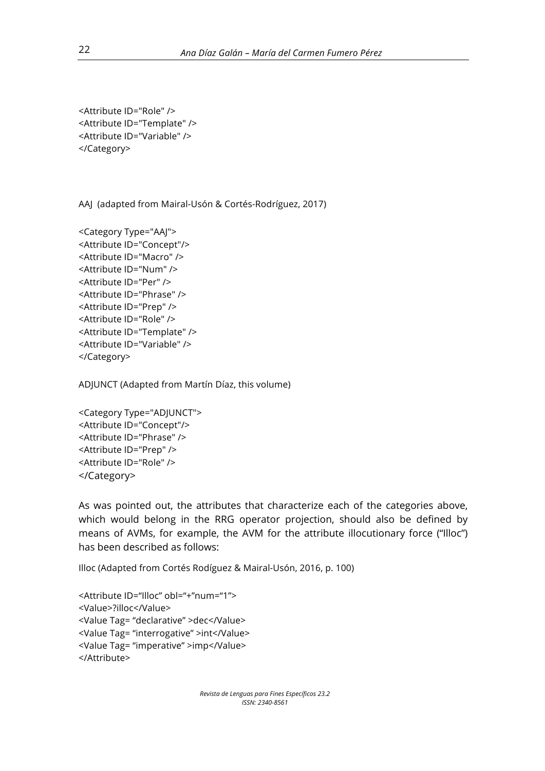```
<Attribute ID="Role" /> 
<Attribute ID="Template" /> 
<Attribute ID="Variable" /> 
</Category>
```
AAJ (adapted from Mairal-Usón & Cortés-Rodríguez, 2017)

```
<Category Type="AAJ"> 
<Attribute ID="Concept"/>
<Attribute ID="Macro" /> 
<Attribute ID="Num" /> 
<Attribute ID="Per" />
<Attribute ID="Phrase" />
<Attribute ID="Prep" />
<Attribute ID="Role" /> 
<Attribute ID="Template" /> 
<Attribute ID="Variable" /> 
</Category>
```
ADJUNCT (Adapted from Martín Díaz, this volume)

```
<Category Type="ADJUNCT"> 
<Attribute ID="Concept"/>
<Attribute ID="Phrase" />
<Attribute ID="Prep" />
<Attribute ID="Role" />
</Category>
```
As was pointed out, the attributes that characterize each of the categories above, which would belong in the RRG operator projection, should also be defined by means of AVMs, for example, the AVM for the attribute illocutionary force ("Illoc") has been described as follows:

Illoc (Adapted from Cortés Rodíguez & Mairal-Usón, 2016, p. 100)

```
<Attribute ID="Illoc" obl="+"num="1">
<Value>?illoc</Value>
<Value Tag= "declarative" >dec</Value>
<Value Tag= "interrogative" >int</Value>
<Value Tag= "imperative" >imp</Value>
</Attribute>
```
*Revista de Lenguas para Fines Específicos 23.2 ISSN: 2340-8561*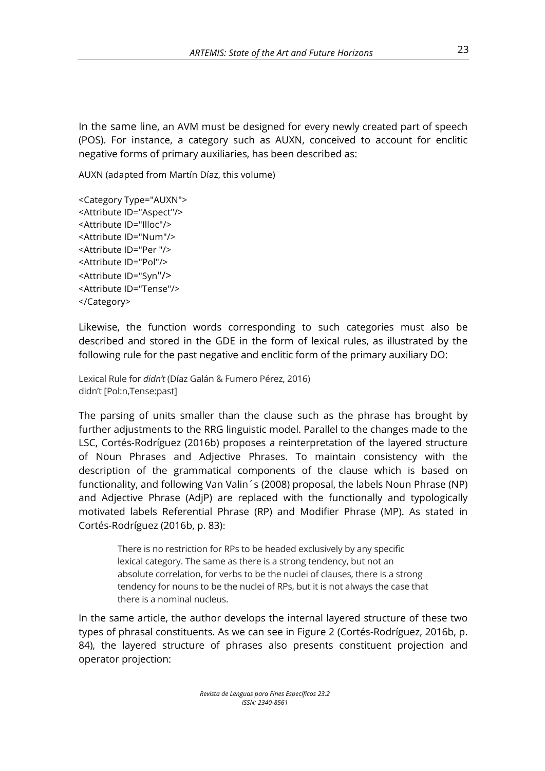In the same line, an AVM must be designed for every newly created part of speech (POS). For instance, a category such as AUXN, conceived to account for enclitic negative forms of primary auxiliaries, has been described as:

AUXN (adapted from Martín Díaz, this volume)

<Category Type="AUXN"> <Attribute ID="Aspect"/> <Attribute ID="Illoc"/> <Attribute ID="Num"/> <Attribute ID="Per "/> <Attribute ID="Pol"/> <Attribute ID="Syn"/> <Attribute ID="Tense"/> </Category>

Likewise, the function words corresponding to such categories must also be described and stored in the GDE in the form of lexical rules, as illustrated by the following rule for the past negative and enclitic form of the primary auxiliary DO:

Lexical Rule for *didn't* (Díaz Galán & Fumero Pérez, 2016) didn't [Pol:n,Tense:past]

The parsing of units smaller than the clause such as the phrase has brought by further adjustments to the RRG linguistic model. Parallel to the changes made to the LSC, Cortés-Rodríguez (2016b) proposes a reinterpretation of the layered structure of Noun Phrases and Adjective Phrases. To maintain consistency with the description of the grammatical components of the clause which is based on functionality, and following Van Valin´s (2008) proposal, the labels Noun Phrase (NP) and Adjective Phrase (AdjP) are replaced with the functionally and typologically motivated labels Referential Phrase (RP) and Modifier Phrase (MP). As stated in Cortés-Rodríguez (2016b, p. 83): 

There is no restriction for RPs to be headed exclusively by any specific lexical category. The same as there is a strong tendency, but not an absolute correlation, for verbs to be the nuclei of clauses, there is a strong tendency for nouns to be the nuclei of RPs, but it is not always the case that there is a nominal nucleus.

In the same article, the author develops the internal layered structure of these two types of phrasal constituents. As we can see in Figure 2 (Cortés-Rodríguez, 2016b, p. 84), the layered structure of phrases also presents constituent projection and operator projection: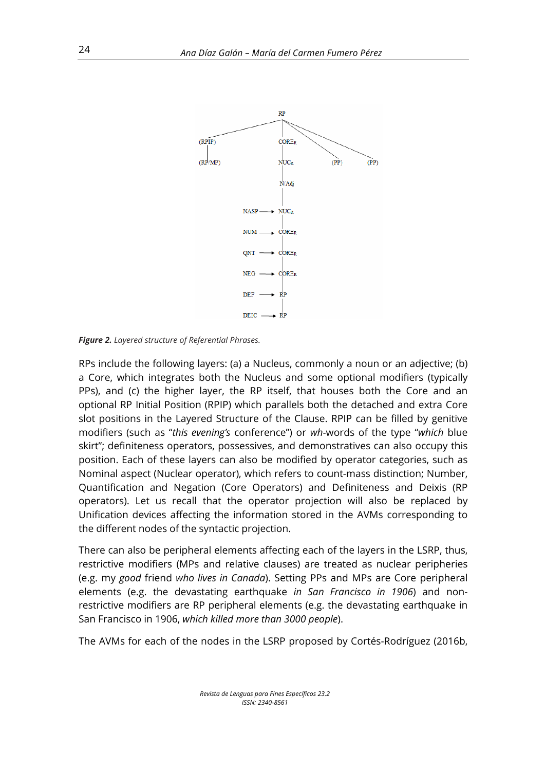

*Figure 2. Layered structure of Referential Phrases.* 

RPs include the following layers: (a) a Nucleus, commonly a noun or an adjective; (b) a Core, which integrates both the Nucleus and some optional modifiers (typically PPs), and (c) the higher layer, the RP itself, that houses both the Core and an optional RP Initial Position (RPIP) which parallels both the detached and extra Core slot positions in the Layered Structure of the Clause. RPIP can be filled by genitive modifiers (such as "*this evening's* conference") or *wh-*words of the type "*which* blue skirt"; definiteness operators, possessives, and demonstratives can also occupy this position. Each of these layers can also be modified by operator categories, such as Nominal aspect (Nuclear operator), which refers to count-mass distinction; Number, Quantification and Negation (Core Operators) and Definiteness and Deixis (RP operators). Let us recall that the operator projection will also be replaced by Unification devices affecting the information stored in the AVMs corresponding to the different nodes of the syntactic projection.

There can also be peripheral elements affecting each of the layers in the LSRP, thus, restrictive modifiers (MPs and relative clauses) are treated as nuclear peripheries (e.g. my *good* friend *who lives in Canada*). Setting PPs and MPs are Core peripheral elements (e.g. the devastating earthquake *in San Francisco in 1906*) and nonrestrictive modifiers are RP peripheral elements (e.g. the devastating earthquake in San Francisco in 1906, *which killed more than 3000 people*).

The AVMs for each of the nodes in the LSRP proposed by Cortés-Rodríguez (2016b,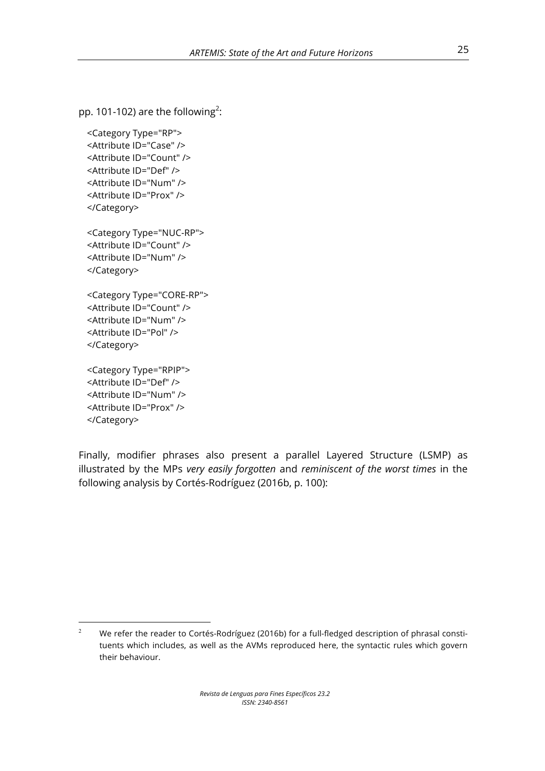pp. 101-102) are the following<sup>2</sup>:

<Category Type="RP"> <Attribute ID="Case" /> <Attribute ID="Count" /> <Attribute ID="Def" /> <Attribute ID="Num" /> <Attribute ID="Prox" /> </Category> <Category Type="NUC-RP"> <Attribute ID="Count" /> <Attribute ID="Num" /> </Category> <Category Type="CORE-RP"> <Attribute ID="Count" /> <Attribute ID="Num" /> <Attribute ID="Pol" /> </Category>

<Category Type="RPIP"> <Attribute ID="Def" /> <Attribute ID="Num" /> <Attribute ID="Prox" /> </Category>

<u> Andreas Andreas Andreas Andreas Andreas Andreas Andreas Andreas Andreas Andreas Andreas Andreas Andreas Andreas</u>

Finally, modifier phrases also present a parallel Layered Structure (LSMP) as illustrated by the MPs *very easily forgotten* and *reminiscent of the worst times* in the following analysis by Cortés-Rodríguez (2016b, p. 100):

<sup>&</sup>lt;sup>2</sup> We refer the reader to Cortés-Rodríguez (2016b) for a full-fledged description of phrasal constituents which includes, as well as the AVMs reproduced here, the syntactic rules which govern their behaviour.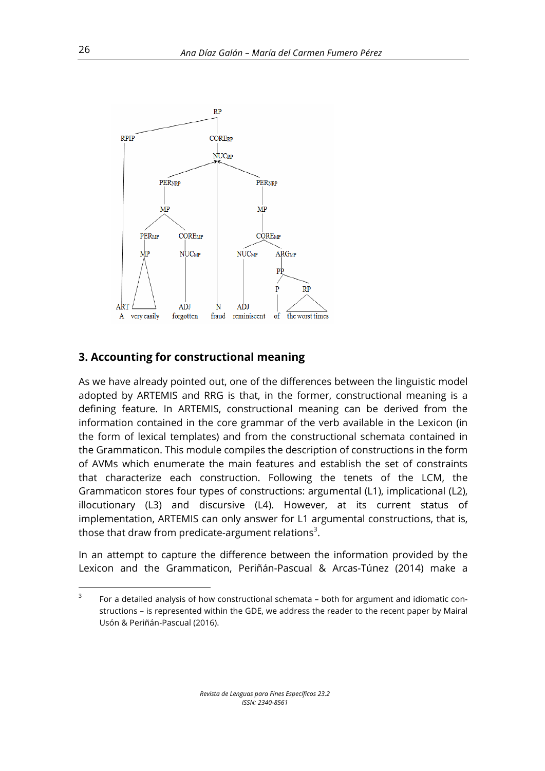

#### **3. Accounting for constructional meaning**

<u> Andreas Andreas Andreas Andreas Andreas Andreas Andreas Andreas Andreas Andreas Andreas Andreas Andreas Andreas</u>

As we have already pointed out, one of the differences between the linguistic model adopted by ARTEMIS and RRG is that, in the former, constructional meaning is a defining feature. In ARTEMIS, constructional meaning can be derived from the information contained in the core grammar of the verb available in the Lexicon (in the form of lexical templates) and from the constructional schemata contained in the Grammaticon. This module compiles the description of constructions in the form of AVMs which enumerate the main features and establish the set of constraints that characterize each construction. Following the tenets of the LCM, the Grammaticon stores four types of constructions: argumental (L1), implicational (L2), illocutionary (L3) and discursive (L4). However, at its current status of implementation, ARTEMIS can only answer for L1 argumental constructions, that is, those that draw from predicate-argument relations<sup>3</sup>.

In an attempt to capture the difference between the information provided by the Lexicon and the Grammaticon, Periñán-Pascual & Arcas-Túnez (2014) make a

 $3$  For a detailed analysis of how constructional schemata – both for argument and idiomatic constructions – is represented within the GDE, we address the reader to the recent paper by Mairal Usón & Periñán-Pascual (2016).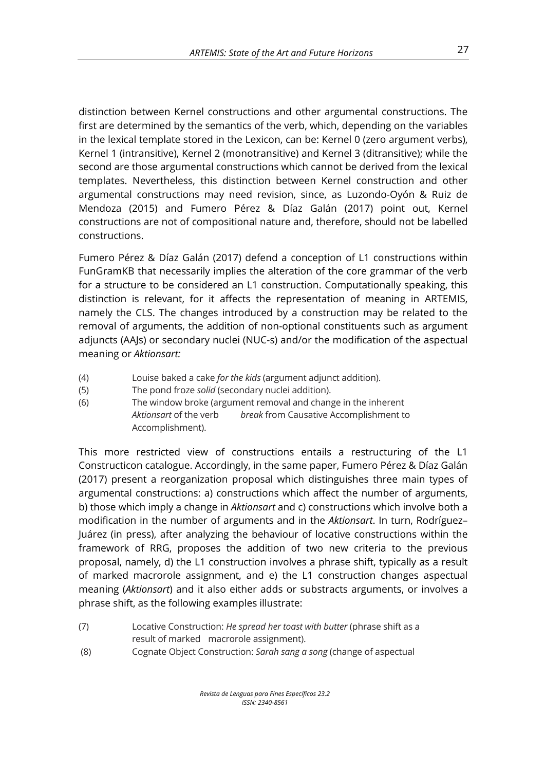distinction between Kernel constructions and other argumental constructions. The first are determined by the semantics of the verb, which, depending on the variables in the lexical template stored in the Lexicon, can be: Kernel 0 (zero argument verbs), Kernel 1 (intransitive), Kernel 2 (monotransitive) and Kernel 3 (ditransitive); while the second are those argumental constructions which cannot be derived from the lexical templates. Nevertheless, this distinction between Kernel construction and other argumental constructions may need revision, since, as Luzondo-Oyón & Ruiz de Mendoza (2015) and Fumero Pérez & Díaz Galán (2017) point out, Kernel constructions are not of compositional nature and, therefore, should not be labelled constructions.

Fumero Pérez & Díaz Galán (2017) defend a conception of L1 constructions within FunGramKB that necessarily implies the alteration of the core grammar of the verb for a structure to be considered an L1 construction. Computationally speaking, this distinction is relevant, for it affects the representation of meaning in ARTEMIS, namely the CLS. The changes introduced by a construction may be related to the removal of arguments, the addition of non-optional constituents such as argument adjuncts (AAJs) or secondary nuclei (NUC-s) and/or the modification of the aspectual meaning or *Aktionsart:*

- (4) Louise baked a cake *for the kids* (argument adjunct addition).
- (5) The pond froze *solid* (secondary nuclei addition).
- (6) The window broke (argument removal and change in the inherent *Aktionsart* of the verb *break* from Causative Accomplishment to Accomplishment).

This more restricted view of constructions entails a restructuring of the L1 Constructicon catalogue. Accordingly, in the same paper, Fumero Pérez & Díaz Galán (2017) present a reorganization proposal which distinguishes three main types of argumental constructions: a) constructions which affect the number of arguments, b) those which imply a change in *Aktionsart* and c) constructions which involve both a modification in the number of arguments and in the *Aktionsart*. In turn, Rodríguez– Juárez (in press), after analyzing the behaviour of locative constructions within the framework of RRG, proposes the addition of two new criteria to the previous proposal, namely, d) the L1 construction involves a phrase shift, typically as a result of marked macrorole assignment, and e) the L1 construction changes aspectual meaning (*Aktionsart*) and it also either adds or substracts arguments, or involves a phrase shift, as the following examples illustrate:

- (7) Locative Construction: *He spread her toast with butter* (phrase shift as a result of marked macrorole assignment).
- (8) Cognate Object Construction: *Sarah sang a song* (change of aspectual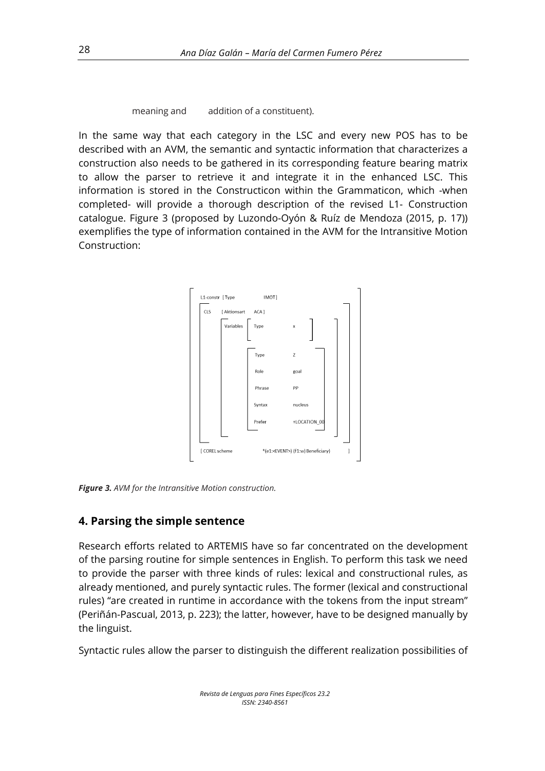meaning and addition of a constituent).

In the same way that each category in the LSC and every new POS has to be described with an AVM, the semantic and syntactic information that characterizes a construction also needs to be gathered in its corresponding feature bearing matrix to allow the parser to retrieve it and integrate it in the enhanced LSC. This information is stored in the Constructicon within the Grammaticon, which -when completed- will provide a thorough description of the revised L1- Construction catalogue. Figure 3 (proposed by Luzondo-Oyón & Ruíz de Mendoza (2015, p. 17)) exemplifies the type of information contained in the AVM for the Intransitive Motion Construction:



*Figure 3. AVM for the Intransitive Motion construction.*

#### **4. Parsing the simple sentence**

Research efforts related to ARTEMIS have so far concentrated on the development of the parsing routine for simple sentences in English. To perform this task we need to provide the parser with three kinds of rules: lexical and constructional rules, as already mentioned, and purely syntactic rules. The former (lexical and constructional rules) "are created in runtime in accordance with the tokens from the input stream" (Periñán-Pascual, 2013, p. 223); the latter, however, have to be designed manually by the linguist.

Syntactic rules allow the parser to distinguish the different realization possibilities of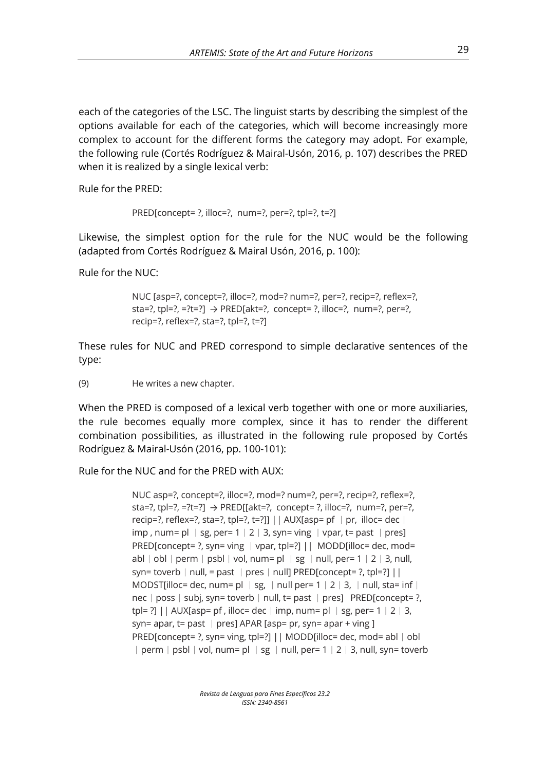each of the categories of the LSC. The linguist starts by describing the simplest of the options available for each of the categories, which will become increasingly more complex to account for the different forms the category may adopt. For example, the following rule (Cortés Rodríguez & Mairal-Usón, 2016, p. 107) describes the PRED when it is realized by a single lexical verb:

Rule for the PRED:

PRED[concept= ?, illoc=?, num=?, per=?, tpl=?, t=?]

Likewise, the simplest option for the rule for the NUC would be the following (adapted from Cortés Rodríguez & Mairal Usón, 2016, p. 100):

Rule for the NUC:

NUC [asp=?, concept=?, illoc=?, mod=? num=?, per=?, recip=?, reflex=?, sta=?, tpl=?, =?t=?]  $\rightarrow$  PRED[akt=?, concept= ?, illoc=?, num=?, per=?, recip=?, reflex=?, sta=?, tpl=?, t=?]

These rules for NUC and PRED correspond to simple declarative sentences of the type:

(9) He writes a new chapter.

When the PRED is composed of a lexical verb together with one or more auxiliaries, the rule becomes equally more complex, since it has to render the different combination possibilities, as illustrated in the following rule proposed by Cortés Rodríguez & Mairal-Usón (2016, pp. 100-101):

Rule for the NUC and for the PRED with AUX:

```
NUC asp=?, concept=?, illoc=?, mod=? num=?, per=?, recip=?, reflex=?, 
sta=?, tpl=?, =?t=?] \rightarrow PRED[[akt=?, concept= ?, illoc=?, num=?, per=?,
recip=?, reflex=?, sta=?, tpl=?, t=?]] | | AUX[asp= pf | pr, illoc= dec |
imp, num= pl \mid sg, per= 1 \mid 2 \mid 3, syn= ving \mid vpar, t= past \mid pres]
PRED[concept= ?, syn= ving │ vpar, tpl=?] || MODD[illoc= dec, mod=
abl| obl | perm | psbl| vol, num= pl | sg | null, per= 1 | 2 | 3, null,
syn= toverb | null, = past | pres | null] PRED[concept= ?, tpl=?] ||
MODST[illoc= dec, num= pl | sg, | null per= 1 | 2 | 3, | null, sta= inf |
nec | poss | subj, syn= toverb | null, t= past | pres] PRED[concept= ?,
tpl= ?] || AUX[asp= pf, illoc= dec | imp, num= pl | sg, per= 1 \mid 2 \mid 3,
syn= apar, t= past | pres] APAR [asp= pr, syn= apar + ving ]
PRED[concept= ?, syn= ving, tpl=?] | | MODD[illoc= dec, mod= abl ∣ obl
︱perm︱psbl︱vol, num= pl ︱sg ︱null, per= 1︱2︱3, null, syn= toverb
```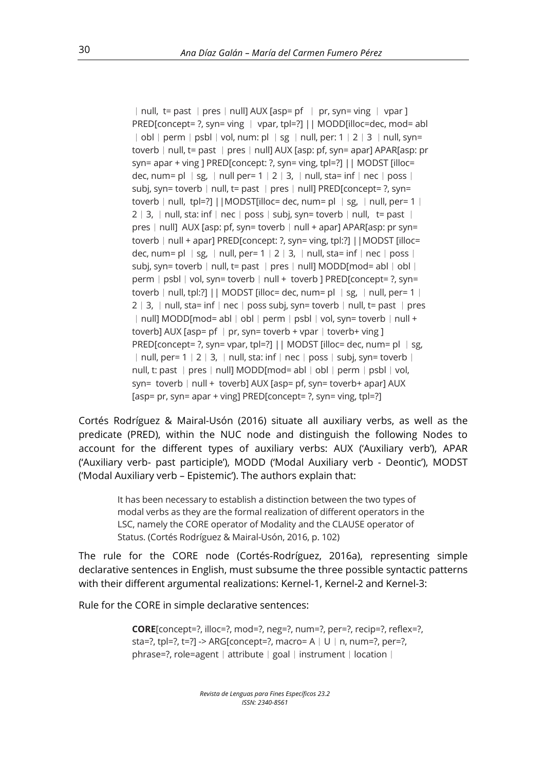︱null, t= past ︱pres︱null] AUX [asp= pf ︱ pr, syn= ving ︱ vpar ] PRED[concept= ?, syn= ving ︱ vpar, tpl=?] || MODD[illoc=dec, mod= abl ︱obl︱perm︱psbl︱vol, num: pl ︱sg ︱null, per: 1︱2︱3 ︱null, syn= toverb | null, t= past | pres | null] AUX [asp: pf, syn= apar] APAR[asp: pr syn= apar + ving ] PRED[concept: ?, syn= ving, tpl=?] || MODST [illoc= dec, num= pl  $\mid$  sg,  $\mid$  null per= 1  $\mid$  2  $\mid$  3,  $\mid$  null, sta= inf  $\mid$  nec  $\mid$  poss  $\mid$ subj, syn= toverb | null, t= past | pres | null] PRED[concept= ?, syn= toverb | null, tpl=?] ||MODST[illoc= dec, num= pl | sg, | null, per= 1 |  $2 | 3, | null, \text{sta: inf} | \text{nec} | \text{poss} | \text{subj, syn} = \text{toverb} | null, \text{te past} |$ pres | null] AUX [asp: pf, syn= toverb | null + apar] APAR[asp: pr syn= toverb | null + apar] PRED[concept: ?, syn= ving, tpl:?] | | MODST [illoc= dec, num= pl  $\mid$  sg,  $\mid$  null, per= 1  $\mid$  2  $\mid$  3,  $\mid$  null, sta= inf  $\mid$  nec  $\mid$  poss  $\mid$ subj, syn= toverb | null, t= past | pres | null] MODD[mod= abl | obl | perm | psbl | vol, syn= toverb | null + toverb ] PRED[concept= ?, syn= toverb | null, tpl:?] || MODST [illoc= dec, num= pl  $\mid$  sg,  $\mid$  null, per= 1  $\mid$ 2 │ 3, │ null, sta= inf │ nec │ poss subj, syn= toverb │ null, t= past │ pres ︱null] MODD[mod= abl︱obl︱perm︱psbl︱vol, syn= toverb︱null + toverb] AUX [asp= pf  $|$  pr, syn= toverb + vpar  $|$  toverb+ ving ] PRED[concept= ?, syn= vpar, tpl=?] || MODST [illoc= dec, num= pl | sg, ︱null, per= 1︱2︱3, ︱null, sta: inf︱nec︱poss︱subj, syn= toverb︱ null, t: past ∣pres∣null] MODD[mod= abl∣obl∣perm∣psbl∣vol, syn= toverb  $|null +$  toverb] AUX [asp= pf, syn= toverb+ apar] AUX [asp= pr, syn= apar + ving] PRED[concept= ?, syn= ving, tpl=?]

Cortés Rodríguez & Mairal-Usón (2016) situate all auxiliary verbs, as well as the predicate (PRED), within the NUC node and distinguish the following Nodes to account for the different types of auxiliary verbs: AUX ('Auxiliary verb'), APAR ('Auxiliary verb- past participle'), MODD ('Modal Auxiliary verb - Deontic'), MODST ('Modal Auxiliary verb – Epistemic'). The authors explain that:

It has been necessary to establish a distinction between the two types of modal verbs as they are the formal realization of different operators in the LSC, namely the CORE operator of Modality and the CLAUSE operator of Status. (Cortés Rodríguez & Mairal-Usón, 2016, p. 102)

The rule for the CORE node (Cortés-Rodríguez, 2016a), representing simple declarative sentences in English, must subsume the three possible syntactic patterns with their different argumental realizations: Kernel-1, Kernel-2 and Kernel-3:

Rule for the CORE in simple declarative sentences:

**CORE**[concept=?, illoc=?, mod=?, neg=?, num=?, per=?, recip=?, reflex=?, sta=?, tpl=?, t=?] -> ARG[concept=?, macro=  $A \mid U \mid n$ , num=?, per=?, phrase=?, role=agent | attribute | goal | instrument | location |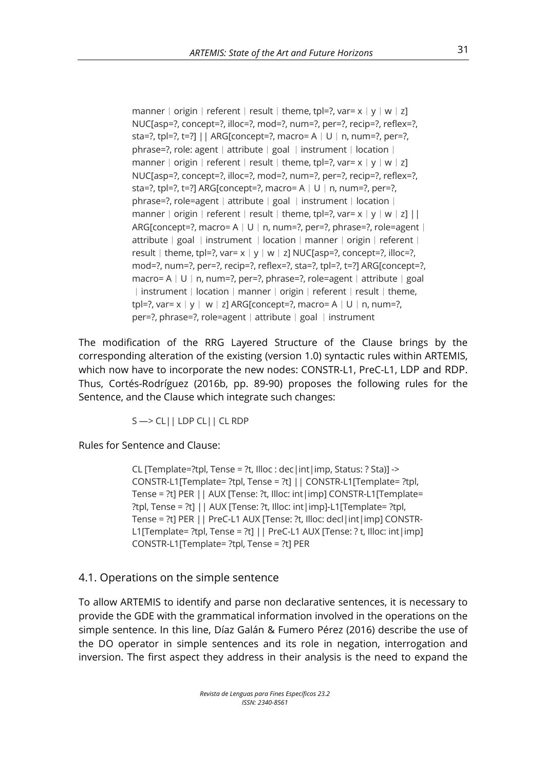manner | origin | referent | result | theme, tpl=?, var=  $x | y | w | z$ ] NUC[asp=?, concept=?, illoc=?, mod=?, num=?, per=?, recip=?, reflex=?, sta=?, tpl=?, t=?] || ARG[concept=?, macro=  $A \mid U \mid n$ , num=?, per=?, phrase=?, role: agent │ attribute │ goal │ instrument │ location │ manner | origin | referent | result | theme, tpl=?, var=  $x | y | w | z$ ] NUC[asp=?, concept=?, illoc=?, mod=?, num=?, per=?, recip=?, reflex=?, sta=?, tpl=?, t=?] ARG[concept=?, macro= A | U | n, num=?, per=?, phrase=?, role=agent │ attribute │ goal │ instrument │ location │ manner | origin | referent | result | theme, tpl=?, var=  $x | y | w | z] ||$ ARG[concept=?, macro= A | U | n, num=?, per=?, phrase=?, role=agent | attribute︱goal ︱instrument ︱location︱manner︱origin︱referent︱ result | theme, tpl=?, var=  $x | y | w | z$ ] NUC[asp=?, concept=?, illoc=?, mod=?, num=?, per=?, recip=?, reflex=?, sta=?, tpl=?, t=?] ARG[concept=?, macro= A | U | n, num=?, per=?, phrase=?, role=agent | attribute | goal ︱instrument︱location︱manner︱origin︱referent︱result︱theme, tpl=?, var= $x | y | w | z$ ] ARG[concept=?, macro= A  $| U | n$ , num=?, per=?, phrase=?, role=agent | attribute | goal | instrument

The modification of the RRG Layered Structure of the Clause brings by the corresponding alteration of the existing (version 1.0) syntactic rules within ARTEMIS, which now have to incorporate the new nodes: CONSTR-L1, PreC-L1, LDP and RDP. Thus, Cortés-Rodríguez (2016b, pp. 89-90) proposes the following rules for the Sentence, and the Clause which integrate such changes:

S —> CL|| LDP CL|| CL RDP

Rules for Sentence and Clause:

CL [Template=?tpl, Tense = ?t, Illoc : dec|int|imp, Status: ? Sta)] -> CONSTR-L1[Template= ?tpl, Tense = ?t] || CONSTR-L1[Template= ?tpl, Tense = ?t] PER || AUX [Tense: ?t, Illoc: int|imp] CONSTR-L1[Template= ?tpl, Tense = ?t] || AUX [Tense: ?t, Illoc: int|imp]-L1[Template= ?tpl, Tense = ?t] PER || PreC-L1 AUX [Tense: ?t, Illoc: decl|int|imp] CONSTR-L1[Template= ?tpl, Tense = ?t] | | PreC-L1 AUX [Tense: ? t, Illoc: int | imp] CONSTR-L1[Template= ?tpl, Tense = ?t] PER

4.1. Operations on the simple sentence

To allow ARTEMIS to identify and parse non declarative sentences, it is necessary to provide the GDE with the grammatical information involved in the operations on the simple sentence. In this line, Díaz Galán & Fumero Pérez (2016) describe the use of the DO operator in simple sentences and its role in negation, interrogation and inversion. The first aspect they address in their analysis is the need to expand the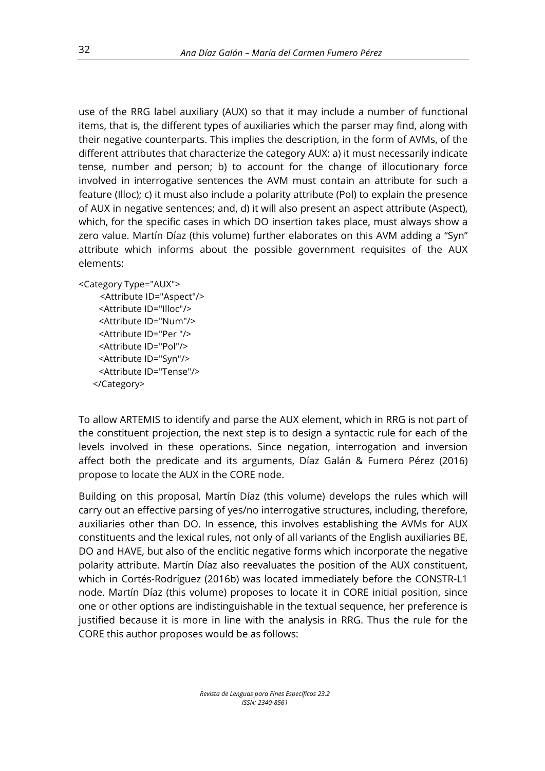use of the RRG label auxiliary (AUX) so that it may include a number of functional items, that is, the different types of auxiliaries which the parser may find, along with their negative counterparts. This implies the description, in the form of AVMs, of the different attributes that characterize the category AUX: a) it must necessarily indicate tense, number and person; b) to account for the change of illocutionary force involved in interrogative sentences the AVM must contain an attribute for such a feature (Illoc); c) it must also include a polarity attribute (Pol) to explain the presence of AUX in negative sentences; and, d) it will also present an aspect attribute (Aspect), which, for the specific cases in which DO insertion takes place, must always show a zero value. Martín Díaz (this volume) further elaborates on this AVM adding a "Syn" attribute which informs about the possible government requisites of the AUX elements:

```
<Category Type="AUX">
```

```
 <Attribute ID="Aspect"/>
  <Attribute ID="Illoc"/>
  <Attribute ID="Num"/>
  <Attribute ID="Per "/>
  <Attribute ID="Pol"/>
  <Attribute ID="Syn"/>
  <Attribute ID="Tense"/>
 </Category>
```
To allow ARTEMIS to identify and parse the AUX element, which in RRG is not part of the constituent projection, the next step is to design a syntactic rule for each of the levels involved in these operations. Since negation, interrogation and inversion affect both the predicate and its arguments, Díaz Galán & Fumero Pérez (2016) propose to locate the AUX in the CORE node.

Building on this proposal, Martín Díaz (this volume) develops the rules which will carry out an effective parsing of yes/no interrogative structures, including, therefore, auxiliaries other than DO. In essence, this involves establishing the AVMs for AUX constituents and the lexical rules, not only of all variants of the English auxiliaries BE, DO and HAVE, but also of the enclitic negative forms which incorporate the negative polarity attribute. Martín Díaz also reevaluates the position of the AUX constituent, which in Cortés-Rodríguez (2016b) was located immediately before the CONSTR-L1 node. Martín Díaz (this volume) proposes to locate it in CORE initial position, since one or other options are indistinguishable in the textual sequence, her preference is justified because it is more in line with the analysis in RRG. Thus the rule for the CORE this author proposes would be as follows: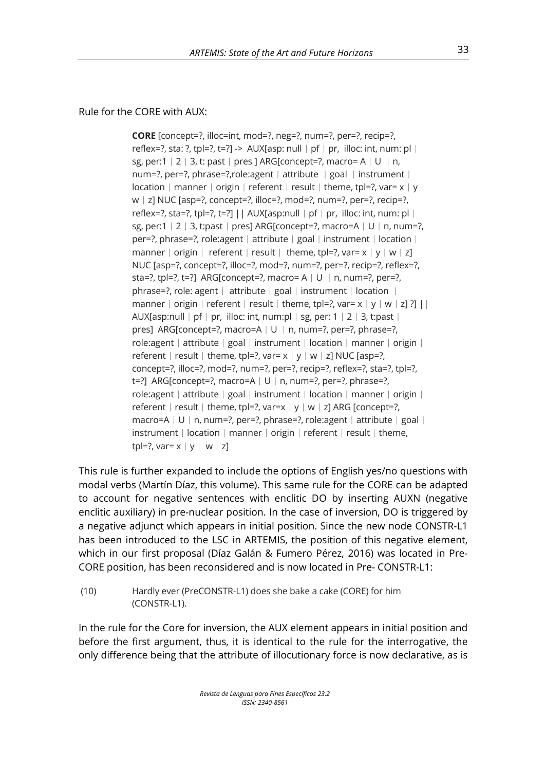#### Rule for the CORE with AUX:

**CORE** [concept=?, illoc=int, mod=?, neg=?, num=?, per=?, recip=?, reflex=?, sta: ?, tpl=?, t=?] -> AUX[asp: null | pf | pr, illoc: int, num: pl | sg, per:1  $|2|3$ , t: past  $|pres]$  ARG[concept=?, macro= A  $|U|n$ , num=?, per=?, phrase=?, role: agent ∣attribute ∣goal ∣instrument ∣  $location | manner | origin | referent | result | them, to = 2, var = x | y |$ w | z] NUC [asp=?, concept=?, illoc=?, mod=?, num=?, per=?, recip=?, reflex=?, sta=?, tpl=?, t=?] || AUX[asp:null | pf | pr, illoc: int, num: pl | sg, per:1︱2︱3, t:past︱pres] ARG[concept=?, macro=A︱U︱n, num=?, per=?, phrase=?, role:agent | attribute | goal | instrument | location | manner | origin | referent | result | theme, tpl=?, var=  $x | y | w | z$ ] NUC [asp=?, concept=?, illoc=?, mod=?, num=?, per=?, recip=?, reflex=?, sta=?, tpl=?, t=?] ARG[concept=?, macro= A | U | n, num=?, per=?, phrase=?, role: agent │ attribute │ goal │ instrument │ location │ manner | origin | referent | result | theme, tpl=?, var=  $x | y | w | z$ ] ?] || AUX[asp:null  $|pf|pr$ , illoc: int, num:pl  $|sg$ , per: 1  $|2|3$ , t:past pres] ARG[concept=?, macro=A | U | n, num=?, per=?, phrase=?, role:agent ∣attribute∣goal∣instrument∣location∣manner∣origin∣ referent | result | theme, tpl=?, var=  $x | y | w | z$ ] NUC [asp=?, concept=?, illoc=?, mod=?, num=?, per=?, recip=?, reflex=?, sta=?, tpl=?, t=?] ARG[concept=?, macro=A | U | n, num=?, per=?, phrase=?, role:agent ∣attribute ∣goal∣instrument∣location∣manner∣origin∣ referent  $\vert$  result  $\vert$  theme, tpl=?, var=x  $\vert$  y  $\vert$  w  $\vert$  z] ARG [concept=?, macro=A | U | n, num=?, per=?, phrase=?, role:agent | attribute | goal | instrument ∣location∣manner∣origin∣referent∣result∣theme, tpl=?, var= $x | y | w | z$ ]

This rule is further expanded to include the options of English yes/no questions with modal verbs (Martín Díaz, this volume). This same rule for the CORE can be adapted to account for negative sentences with enclitic DO by inserting AUXN (negative enclitic auxiliary) in pre-nuclear position. In the case of inversion, DO is triggered by a negative adjunct which appears in initial position. Since the new node CONSTR-L1 has been introduced to the LSC in ARTEMIS, the position of this negative element, which in our first proposal (Díaz Galán & Fumero Pérez, 2016) was located in Pre-CORE position, has been reconsidered and is now located in Pre- CONSTR-L1:

(10) Hardly ever (PreCONSTR-L1) does she bake a cake (CORE) for him (CONSTR-L1).

In the rule for the Core for inversion, the AUX element appears in initial position and before the first argument, thus, it is identical to the rule for the interrogative, the only difference being that the attribute of illocutionary force is now declarative, as is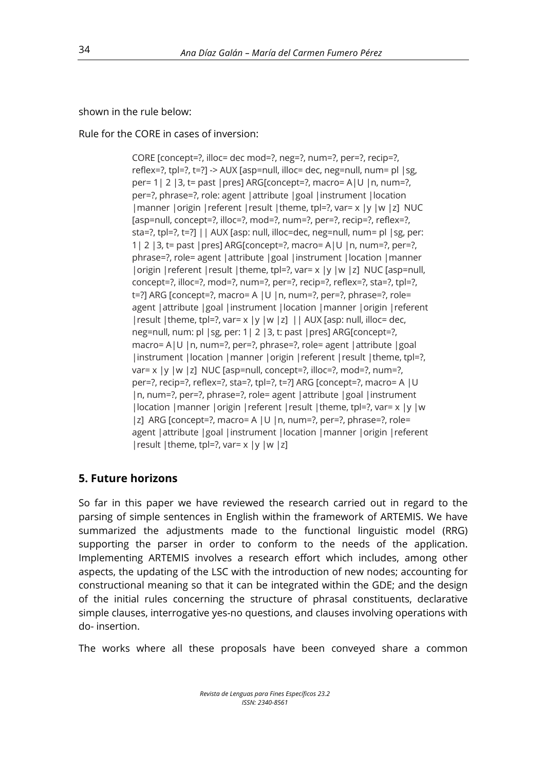shown in the rule below:

Rule for the CORE in cases of inversion:

CORE [concept=?, illoc= dec mod=?, neg=?, num=?, per=?, recip=?, reflex=?, tpl=?, t=?] -> AUX [asp=null, illoc= dec, neg=null, num= pl |sg, per= 1| 2 |3, t= past |pres] ARG[concept=?, macro= A|U |n, num=?, per=?, phrase=?, role: agent |attribute |goal |instrument |location |manner |origin |referent |result |theme, tpl=?, var= x |y |w |z] NUC [asp=null, concept=?, illoc=?, mod=?, num=?, per=?, recip=?, reflex=?, sta=?, tpl=?, t=?] || AUX [asp: null, illoc=dec, neg=null, num= pl |sg, per: 1| 2 | 3, t = past | pres]  $ARG[concept=?, macro= A | U | n, num=?, per=?,$ phrase=?, role= agent |attribute |goal |instrument |location |manner |origin | referent | result | theme, tpl=?, var= x | y | w | z] NUC [asp=null, concept=?, illoc=?, mod=?, num=?, per=?, recip=?, reflex=?, sta=?, tpl=?, t=?] ARG [concept=?, macro= A |U |n, num=?, per=?, phrase=?, role= agent |attribute |goal |instrument |location |manner |origin |referent | result | theme, tpl=?, var=  $x$  |  $y$  |  $w$  |  $z$ ] | | AUX [asp: null, illoc= dec, neg=null, num: pl |sg, per: 1| 2 |3, t: past |pres] ARG[concept=?, macro= A|U |n, num=?, per=?, phrase=?, role= agent |attribute |goal |instrument |location | manner | origin | referent | result | theme, tpl=?, var=  $x$  |y |w |z] NUC [asp=null, concept=?, illoc=?, mod=?, num=?, per=?, recip=?, reflex=?, sta=?, tpl=?, t=?] ARG [concept=?, macro= A |U |n, num=?, per=?, phrase=?, role= agent |attribute |goal |instrument |location |manner |origin |referent |result |theme, tpl=?, var= x |y |w |z] ARG [concept=?, macro= A |U |n, num=?, per=?, phrase=?, role= agent |attribute |goal |instrument |location |manner |origin |referent | result | theme, tpl=?, var= $x$  |  $y$  |  $w$  |  $z$ ]

## **5. Future horizons**

So far in this paper we have reviewed the research carried out in regard to the parsing of simple sentences in English within the framework of ARTEMIS. We have summarized the adjustments made to the functional linguistic model (RRG) supporting the parser in order to conform to the needs of the application. Implementing ARTEMIS involves a research effort which includes, among other aspects, the updating of the LSC with the introduction of new nodes; accounting for constructional meaning so that it can be integrated within the GDE; and the design of the initial rules concerning the structure of phrasal constituents, declarative simple clauses, interrogative yes-no questions, and clauses involving operations with do- insertion.

The works where all these proposals have been conveyed share a common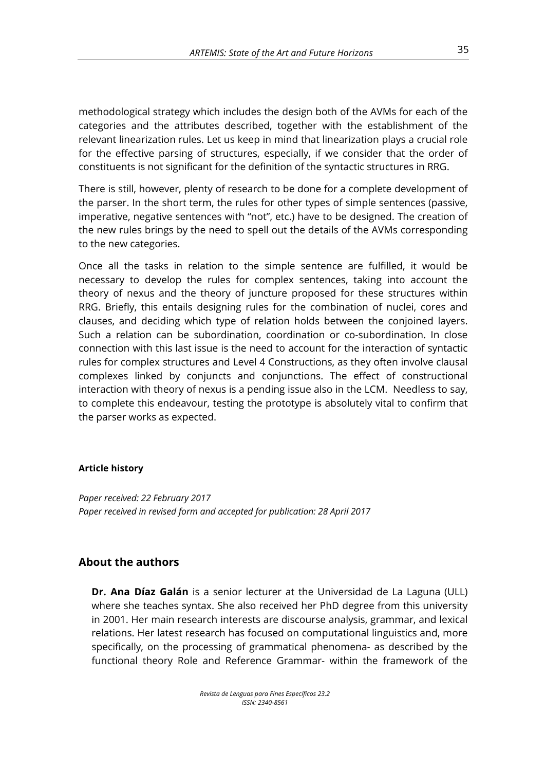methodological strategy which includes the design both of the AVMs for each of the categories and the attributes described, together with the establishment of the relevant linearization rules. Let us keep in mind that linearization plays a crucial role for the effective parsing of structures, especially, if we consider that the order of constituents is not significant for the definition of the syntactic structures in RRG.

There is still, however, plenty of research to be done for a complete development of the parser. In the short term, the rules for other types of simple sentences (passive, imperative, negative sentences with "not", etc.) have to be designed. The creation of the new rules brings by the need to spell out the details of the AVMs corresponding to the new categories.

Once all the tasks in relation to the simple sentence are fulfilled, it would be necessary to develop the rules for complex sentences, taking into account the theory of nexus and the theory of juncture proposed for these structures within RRG. Briefly, this entails designing rules for the combination of nuclei, cores and clauses, and deciding which type of relation holds between the conjoined layers. Such a relation can be subordination, coordination or co-subordination. In close connection with this last issue is the need to account for the interaction of syntactic rules for complex structures and Level 4 Constructions, as they often involve clausal complexes linked by conjuncts and conjunctions. The effect of constructional interaction with theory of nexus is a pending issue also in the LCM. Needless to say, to complete this endeavour, testing the prototype is absolutely vital to confirm that the parser works as expected.

#### **Article history**

*Paper received: 22 February 2017 Paper received in revised form and accepted for publication: 28 April 2017*

#### **About the authors**

**Dr. Ana Díaz Galán** is a senior lecturer at the Universidad de La Laguna (ULL) where she teaches syntax. She also received her PhD degree from this university in 2001. Her main research interests are discourse analysis, grammar, and lexical relations. Her latest research has focused on computational linguistics and, more specifically, on the processing of grammatical phenomena- as described by the functional theory Role and Reference Grammar- within the framework of the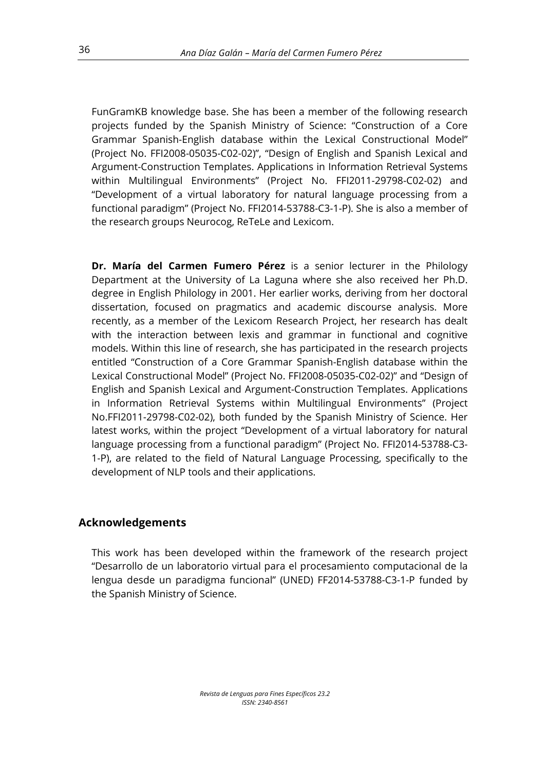FunGramKB knowledge base. She has been a member of the following research projects funded by the Spanish Ministry of Science: "Construction of a Core Grammar Spanish-English database within the Lexical Constructional Model" (Project No. FFI2008-05035-C02-02)", "Design of English and Spanish Lexical and Argument-Construction Templates. Applications in Information Retrieval Systems within Multilingual Environments" (Project No. FFI2011-29798-C02-02) and "Development of a virtual laboratory for natural language processing from a functional paradigm" (Project No. FFI2014-53788-C3-1-P). She is also a member of the research groups Neurocog, ReTeLe and Lexicom.

**Dr. María del Carmen Fumero Pérez** is a senior lecturer in the Philology Department at the University of La Laguna where she also received her Ph.D. degree in English Philology in 2001. Her earlier works, deriving from her doctoral dissertation, focused on pragmatics and academic discourse analysis. More recently, as a member of the Lexicom Research Project, her research has dealt with the interaction between lexis and grammar in functional and cognitive models. Within this line of research, she has participated in the research projects entitled "Construction of a Core Grammar Spanish-English database within the Lexical Constructional Model" (Project No. FFI2008-05035-C02-02)" and "Design of English and Spanish Lexical and Argument-Construction Templates. Applications in Information Retrieval Systems within Multilingual Environments" (Project No.FFI2011-29798-C02-02), both funded by the Spanish Ministry of Science. Her latest works, within the project "Development of a virtual laboratory for natural language processing from a functional paradigm" (Project No. FFI2014-53788-C3- 1-P), are related to the field of Natural Language Processing, specifically to the development of NLP tools and their applications.

#### **Acknowledgements**

This work has been developed within the framework of the research project "Desarrollo de un laboratorio virtual para el procesamiento computacional de la lengua desde un paradigma funcional" (UNED) FF2014-53788-C3-1-P funded by the Spanish Ministry of Science.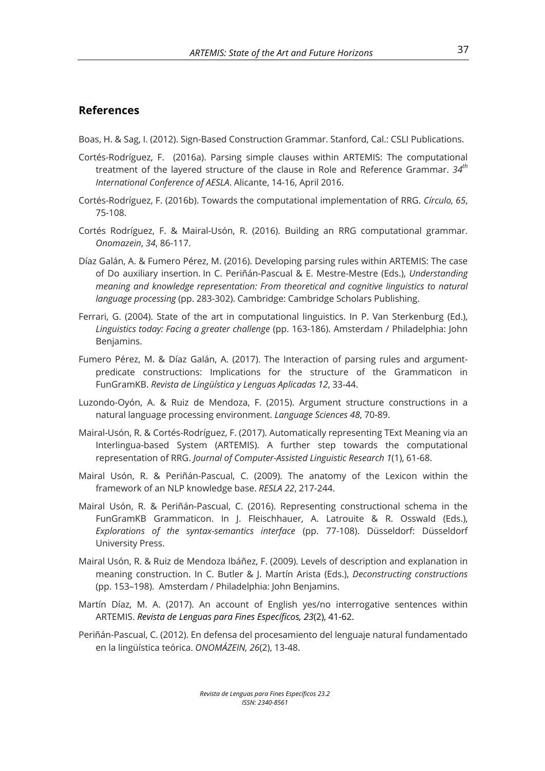#### **References**

Boas, H. & Sag, I. (2012). Sign-Based Construction Grammar. Stanford, Cal.: CSLI Publications.

- Cortés-Rodríguez, F. (2016a). Parsing simple clauses within ARTEMIS: The computational treatment of the layered structure of the clause in Role and Reference Grammar. *34th International Conference of AESLA*. Alicante, 14-16, April 2016.
- Cortés-Rodríguez, F. (2016b). Towards the computational implementation of RRG. *Círculo, 65*, 75-108.
- Cortés Rodríguez, F. & Mairal-Usón, R. (2016). Building an RRG computational grammar. *Onomazein*, *34*, 86-117.
- Díaz Galán, A. & Fumero Pérez, M. (2016). Developing parsing rules within ARTEMIS: The case of Do auxiliary insertion. In C. Periñán-Pascual & E. Mestre-Mestre (Eds.), *Understanding meaning and knowledge representation: From theoretical and cognitive linguistics to natural language processing* (pp. 283-302). Cambridge: Cambridge Scholars Publishing.
- Ferrari, G. (2004). State of the art in computational linguistics. In P. Van Sterkenburg (Ed.), *Linguistics today: Facing a greater challenge* (pp. 163-186). Amsterdam / Philadelphia: John Benjamins.
- Fumero Pérez, M. & Díaz Galán, A. (2017). The Interaction of parsing rules and argumentpredicate constructions: Implications for the structure of the Grammaticon in FunGramKB. *Revista de Lingüística y Lenguas Aplicadas 12*, 33-44.
- Luzondo-Oyón, A. & Ruiz de Mendoza, F. (2015). Argument structure constructions in a natural language processing environment. *Language Sciences 48*, 70-89.
- Mairal-Usón, R. & Cortés-Rodríguez, F. (2017). Automatically representing TExt Meaning via an Interlingua-based System (ARTEMIS). A further step towards the computational representation of RRG. *Journal of Computer-Assisted Linguistic Research 1*(1), 61-68.
- Mairal Usón, R. & Periñán-Pascual, C. (2009). The anatomy of the Lexicon within the framework of an NLP knowledge base. *RESLA 22*, 217-244.
- Mairal Usón, R. & Periñán-Pascual, C. (2016). Representing constructional schema in the FunGramKB Grammaticon. In J. Fleischhauer, A. Latrouite & R. Osswald (Eds.), *Explorations of the syntax-semantics interface* (pp. 77-108). Düsseldorf: Düsseldorf University Press.
- Mairal Usón, R. & Ruiz de Mendoza Ibáñez, F. (2009). Levels of description and explanation in meaning construction. In C. Butler & J. Martín Arista (Eds.), *Deconstructing constructions*  (pp. 153–198). Amsterdam / Philadelphia: John Benjamins.
- Martín Díaz, M. A. (2017). An account of English yes/no interrogative sentences within ARTEMIS. *Revista de Lenguas para Fines Específicos, 23*(2), 41-62.
- Periñán-Pascual, C. (2012). En defensa del procesamiento del lenguaje natural fundamentado en la lingüística teórica. *ONOMÁZEIN, 26*(2), 13-48.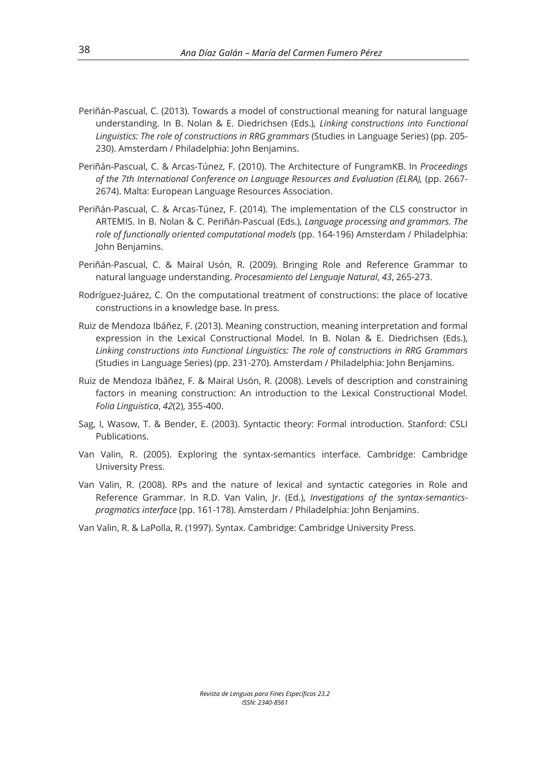- Periñán-Pascual, C. (2013). Towards a model of constructional meaning for natural language understanding. In B. Nolan & E. Diedrichsen (Eds.), *Linking constructions into Functional Linguistics: The role of constructions in RRG grammars* (Studies in Language Series) (pp. 205- 230). Amsterdam / Philadelphia: John Benjamins.
- Periñán-Pascual, C. & Arcas-Túnez, F. (2010). The Architecture of FungramKB. In *Proceedings of the 7th International Conference on Language Resources and Evaluation (ELRA),* (pp. 2667- 2674). Malta: European Language Resources Association.
- Periñán-Pascual, C. & Arcas-Túnez, F. (2014). The implementation of the CLS constructor in ARTEMIS. In B. Nolan & C. Periñán-Pascual (Eds.), *Language processing and grammars. The role of functionally oriented computational models* (pp. 164-196) Amsterdam / Philadelphia: John Benjamins.
- Periñán-Pascual, C. & Mairal Usón, R. (2009). Bringing Role and Reference Grammar to natural language understanding. *Procesamiento del Lenguaje Natural*, *43*, 265-273.
- Rodríguez-Juárez, C. On the computational treatment of constructions: the place of locative constructions in a knowledge base. In press.
- Ruiz de Mendoza Ibáñez, F. (2013). Meaning construction, meaning interpretation and formal expression in the Lexical Constructional Model. In B. Nolan & E. Diedrichsen (Eds.), *Linking constructions into Functional Linguistics: The role of constructions in RRG Grammars* (Studies in Language Series) (pp. 231-270). Amsterdam / Philadelphia: John Benjamins.
- Ruiz de Mendoza Ibáñez, F. & Mairal Usón, R. (2008). Levels of description and constraining factors in meaning construction: An introduction to the Lexical Constructional Model. *Folia Linguistica*, *42*(2), 355-400.
- Sag, I, Wasow, T. & Bender, E. (2003). Syntactic theory: Formal introduction. Stanford: CSLI Publications.
- Van Valin, R. (2005). Exploring the syntax-semantics interface. Cambridge: Cambridge University Press.
- Van Valin, R. (2008). RPs and the nature of lexical and syntactic categories in Role and Reference Grammar. In R.D. Van Valin, Jr. (Ed.), *Investigations of the syntax-semanticspragmatics interface* (pp. 161-178). Amsterdam / Philadelphia: John Benjamins.
- Van Valin, R. & LaPolla, R. (1997). Syntax. Cambridge: Cambridge University Press.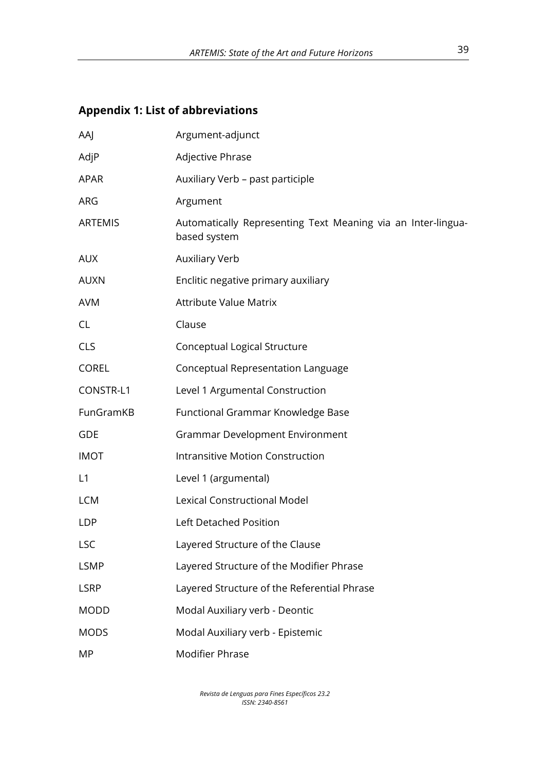## **Appendix 1: List of abbreviations**

| AAJ            | Argument-adjunct                                                             |
|----------------|------------------------------------------------------------------------------|
| AdjP           | Adjective Phrase                                                             |
| <b>APAR</b>    | Auxiliary Verb - past participle                                             |
| ARG            | Argument                                                                     |
| <b>ARTEMIS</b> | Automatically Representing Text Meaning via an Inter-lingua-<br>based system |
| <b>AUX</b>     | <b>Auxiliary Verb</b>                                                        |
| <b>AUXN</b>    | Enclitic negative primary auxiliary                                          |
| <b>AVM</b>     | <b>Attribute Value Matrix</b>                                                |
| <b>CL</b>      | Clause                                                                       |
| <b>CLS</b>     | Conceptual Logical Structure                                                 |
| <b>COREL</b>   | Conceptual Representation Language                                           |
| CONSTR-L1      | Level 1 Argumental Construction                                              |
| FunGramKB      | Functional Grammar Knowledge Base                                            |
| <b>GDE</b>     | <b>Grammar Development Environment</b>                                       |
| <b>IMOT</b>    | Intransitive Motion Construction                                             |
| L1             | Level 1 (argumental)                                                         |
| <b>LCM</b>     | <b>Lexical Constructional Model</b>                                          |
| <b>LDP</b>     | Left Detached Position                                                       |
| <b>LSC</b>     | Layered Structure of the Clause                                              |
| <b>LSMP</b>    | Layered Structure of the Modifier Phrase                                     |
| <b>LSRP</b>    | Layered Structure of the Referential Phrase                                  |
| <b>MODD</b>    | Modal Auxiliary verb - Deontic                                               |
| <b>MODS</b>    | Modal Auxiliary verb - Epistemic                                             |
| MP             | <b>Modifier Phrase</b>                                                       |